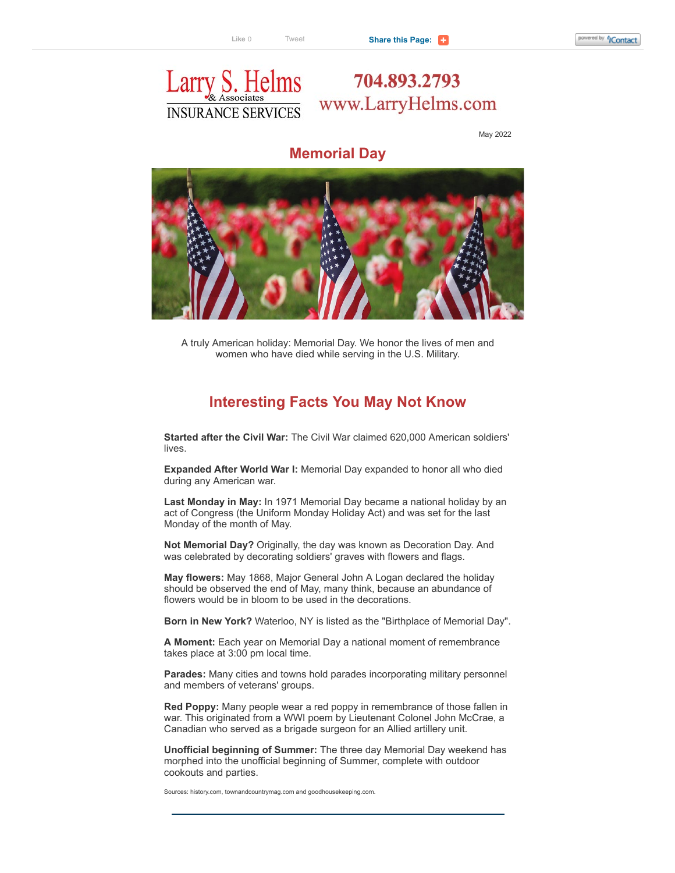## Larry S. Helms **INSURANCE SERVICES**

704.893.2793 www.LarryHelms.com

May 2022

## **Memorial Day**



A truly American holiday: Memorial Day. We honor the lives of men and women who have died while serving in the U.S. Military.

## **Interesting Facts You May Not Know**

**Started after the Civil War:** The Civil War claimed 620,000 American soldiers' lives.

**Expanded After World War I:** Memorial Day expanded to honor all who died during any American war.

**Last Monday in May:** In 1971 Memorial Day became a national holiday by an act of Congress (the Uniform Monday Holiday Act) and was set for the last Monday of the month of May.

**Not Memorial Day?** Originally, the day was known as Decoration Day. And was celebrated by decorating soldiers' graves with flowers and flags.

**May flowers:** May 1868, Major General John A Logan declared the holiday should be observed the end of May, many think, because an abundance of flowers would be in bloom to be used in the decorations.

**Born in New York?** Waterloo, NY is listed as the "Birthplace of Memorial Day".

**A Moment:** Each year on Memorial Day a national moment of remembrance takes place at 3:00 pm local time.

**Parades:** Many cities and towns hold parades incorporating military personnel and members of veterans' groups.

**Red Poppy:** Many people wear a red poppy in remembrance of those fallen in war. This originated from a WWI poem by Lieutenant Colonel John McCrae, a Canadian who served as a brigade surgeon for an Allied artillery unit.

**Unofficial beginning of Summer:** The three day Memorial Day weekend has morphed into the unofficial beginning of Summer, complete with outdoor cookouts and parties.

Sources: history.com, townandcountrymag.com and goodhousekeeping.com.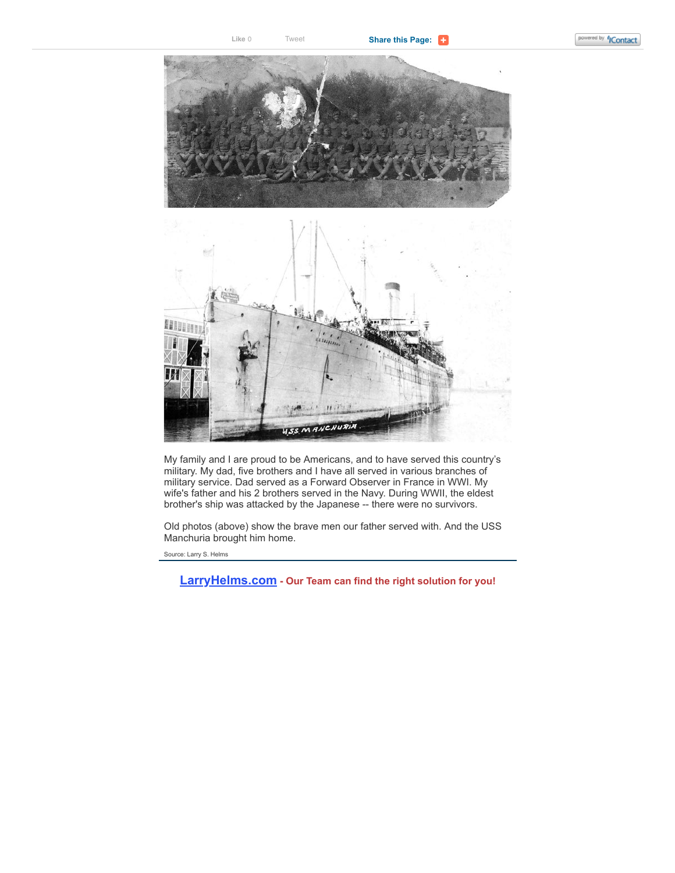



My family and I are proud to be Americans, and to have served this country's military. My dad, five brothers and I have all served in various branches of military service. Dad served as a Forward Observer in France in WWI. My wife's father and his 2 brothers served in the Navy. During WWII, the eldest brother's ship was attacked by the Japanese -- there were no survivors.

Old photos (above) show the brave men our father served with. And the USS Manchuria brought him home.

Source: Larry S. Helms

**[LarryHelms.com](https://click.icptrack.com/icp/rclick.php?cid=1718624&mid=197265&destination=https%3A%2F%2Fwww.larryhelms.com%2Fourteam%2F&cfid=25983&vh=1f7de45f480d50da4799bb09ca1c5e64452c4f6bc03135d94bdaa376a29c6bca) - Our Team can find the right solution for you!**